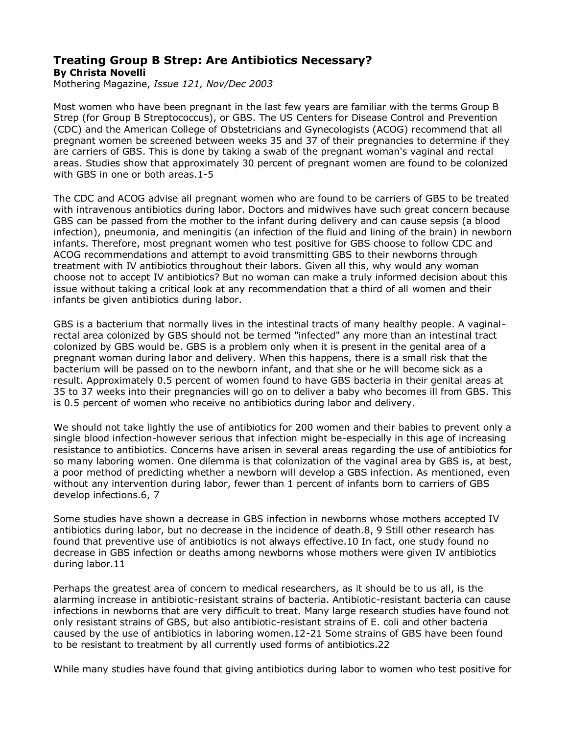# **Treating Group B Strep: Are Antibiotics Necessary?**

**By Christa Novelli**

Mothering Magazine, *Issue 121, Nov/Dec 2003*

Most women who have been pregnant in the last few years are familiar with the terms Group B Strep (for Group B Streptococcus), or GBS. The US Centers for Disease Control and Prevention (CDC) and the American College of Obstetricians and Gynecologists (ACOG) recommend that all pregnant women be screened between weeks 35 and 37 of their pregnancies to determine if they are carriers of GBS. This is done by taking a swab of the pregnant woman's vaginal and rectal areas. Studies show that approximately 30 percent of pregnant women are found to be colonized with GBS in one or both areas.1-5

The CDC and ACOG advise all pregnant women who are found to be carriers of GBS to be treated with intravenous antibiotics during labor. Doctors and midwives have such great concern because GBS can be passed from the mother to the infant during delivery and can cause sepsis (a blood infection), pneumonia, and meningitis (an infection of the fluid and lining of the brain) in newborn infants. Therefore, most pregnant women who test positive for GBS choose to follow CDC and ACOG recommendations and attempt to avoid transmitting GBS to their newborns through treatment with IV antibiotics throughout their labors. Given all this, why would any woman choose not to accept IV antibiotics? But no woman can make a truly informed decision about this issue without taking a critical look at any recommendation that a third of all women and their infants be given antibiotics during labor.

GBS is a bacterium that normally lives in the intestinal tracts of many healthy people. A vaginalrectal area colonized by GBS should not be termed "infected" any more than an intestinal tract colonized by GBS would be. GBS is a problem only when it is present in the genital area of a pregnant woman during labor and delivery. When this happens, there is a small risk that the bacterium will be passed on to the newborn infant, and that she or he will become sick as a result. Approximately 0.5 percent of women found to have GBS bacteria in their genital areas at 35 to 37 weeks into their pregnancies will go on to deliver a baby who becomes ill from GBS. This is 0.5 percent of women who receive no antibiotics during labor and delivery.

We should not take lightly the use of antibiotics for 200 women and their babies to prevent only a single blood infection-however serious that infection might be-especially in this age of increasing resistance to antibiotics. Concerns have arisen in several areas regarding the use of antibiotics for so many laboring women. One dilemma is that colonization of the vaginal area by GBS is, at best, a poor method of predicting whether a newborn will develop a GBS infection. As mentioned, even without any intervention during labor, fewer than 1 percent of infants born to carriers of GBS develop infections.6, 7

Some studies have shown a decrease in GBS infection in newborns whose mothers accepted IV antibiotics during labor, but no decrease in the incidence of death.8, 9 Still other research has found that preventive use of antibiotics is not always effective.10 In fact, one study found no decrease in GBS infection or deaths among newborns whose mothers were given IV antibiotics during labor.11

Perhaps the greatest area of concern to medical researchers, as it should be to us all, is the alarming increase in antibiotic-resistant strains of bacteria. Antibiotic-resistant bacteria can cause infections in newborns that are very difficult to treat. Many large research studies have found not only resistant strains of GBS, but also antibiotic-resistant strains of E. coli and other bacteria caused by the use of antibiotics in laboring women.12-21 Some strains of GBS have been found to be resistant to treatment by all currently used forms of antibiotics.22

While many studies have found that giving antibiotics during labor to women who test positive for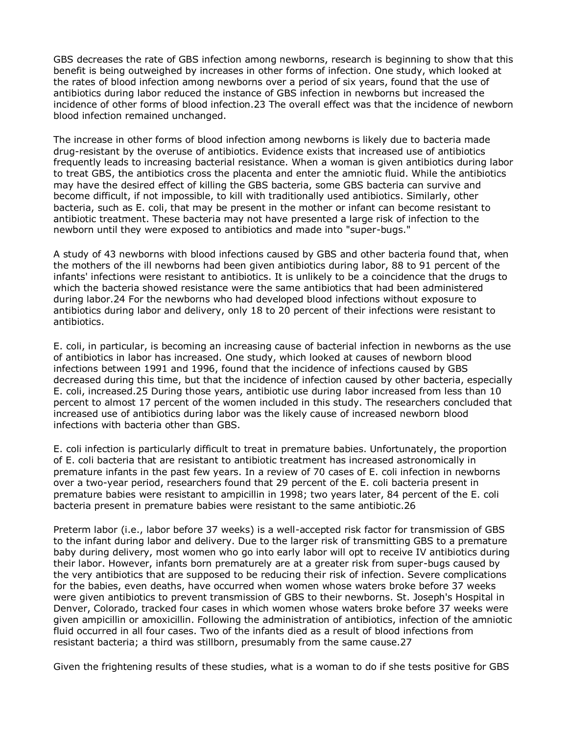GBS decreases the rate of GBS infection among newborns, research is beginning to show that this benefit is being outweighed by increases in other forms of infection. One study, which looked at the rates of blood infection among newborns over a period of six years, found that the use of antibiotics during labor reduced the instance of GBS infection in newborns but increased the incidence of other forms of blood infection.23 The overall effect was that the incidence of newborn blood infection remained unchanged.

The increase in other forms of blood infection among newborns is likely due to bacteria made drug-resistant by the overuse of antibiotics. Evidence exists that increased use of antibiotics frequently leads to increasing bacterial resistance. When a woman is given antibiotics during labor to treat GBS, the antibiotics cross the placenta and enter the amniotic fluid. While the antibiotics may have the desired effect of killing the GBS bacteria, some GBS bacteria can survive and become difficult, if not impossible, to kill with traditionally used antibiotics. Similarly, other bacteria, such as E. coli, that may be present in the mother or infant can become resistant to antibiotic treatment. These bacteria may not have presented a large risk of infection to the newborn until they were exposed to antibiotics and made into "super-bugs."

A study of 43 newborns with blood infections caused by GBS and other bacteria found that, when the mothers of the ill newborns had been given antibiotics during labor, 88 to 91 percent of the infants' infections were resistant to antibiotics. It is unlikely to be a coincidence that the drugs to which the bacteria showed resistance were the same antibiotics that had been administered during labor.24 For the newborns who had developed blood infections without exposure to antibiotics during labor and delivery, only 18 to 20 percent of their infections were resistant to antibiotics.

E. coli, in particular, is becoming an increasing cause of bacterial infection in newborns as the use of antibiotics in labor has increased. One study, which looked at causes of newborn blood infections between 1991 and 1996, found that the incidence of infections caused by GBS decreased during this time, but that the incidence of infection caused by other bacteria, especially E. coli, increased.25 During those years, antibiotic use during labor increased from less than 10 percent to almost 17 percent of the women included in this study. The researchers concluded that increased use of antibiotics during labor was the likely cause of increased newborn blood infections with bacteria other than GBS.

E. coli infection is particularly difficult to treat in premature babies. Unfortunately, the proportion of E. coli bacteria that are resistant to antibiotic treatment has increased astronomically in premature infants in the past few years. In a review of 70 cases of E. coli infection in newborns over a two-year period, researchers found that 29 percent of the E. coli bacteria present in premature babies were resistant to ampicillin in 1998; two years later, 84 percent of the E. coli bacteria present in premature babies were resistant to the same antibiotic.26

Preterm labor (i.e., labor before 37 weeks) is a well-accepted risk factor for transmission of GBS to the infant during labor and delivery. Due to the larger risk of transmitting GBS to a premature baby during delivery, most women who go into early labor will opt to receive IV antibiotics during their labor. However, infants born prematurely are at a greater risk from super-bugs caused by the very antibiotics that are supposed to be reducing their risk of infection. Severe complications for the babies, even deaths, have occurred when women whose waters broke before 37 weeks were given antibiotics to prevent transmission of GBS to their newborns. St. Joseph's Hospital in Denver, Colorado, tracked four cases in which women whose waters broke before 37 weeks were given ampicillin or amoxicillin. Following the administration of antibiotics, infection of the amniotic fluid occurred in all four cases. Two of the infants died as a result of blood infections from resistant bacteria; a third was stillborn, presumably from the same cause.27

Given the frightening results of these studies, what is a woman to do if she tests positive for GBS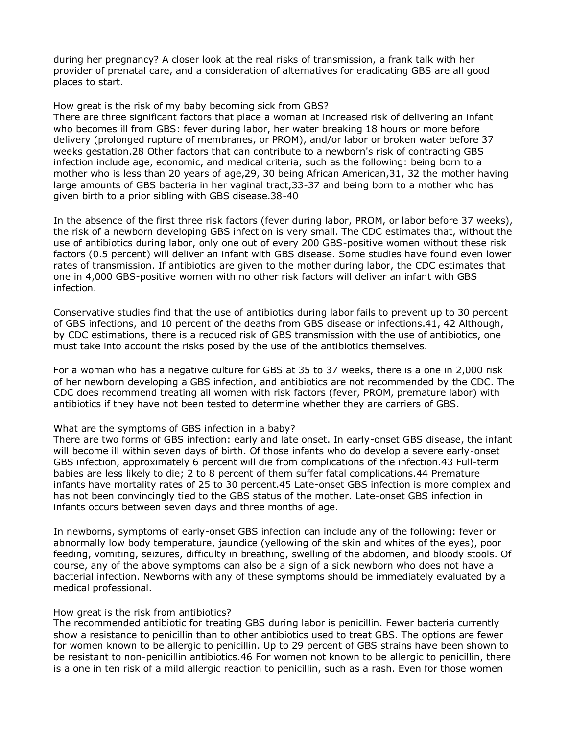during her pregnancy? A closer look at the real risks of transmission, a frank talk with her provider of prenatal care, and a consideration of alternatives for eradicating GBS are all good places to start.

#### How great is the risk of my baby becoming sick from GBS?

There are three significant factors that place a woman at increased risk of delivering an infant who becomes ill from GBS: fever during labor, her water breaking 18 hours or more before delivery (prolonged rupture of membranes, or PROM), and/or labor or broken water before 37 weeks gestation.28 Other factors that can contribute to a newborn's risk of contracting GBS infection include age, economic, and medical criteria, such as the following: being born to a mother who is less than 20 years of age,29, 30 being African American,31, 32 the mother having large amounts of GBS bacteria in her vaginal tract,33-37 and being born to a mother who has given birth to a prior sibling with GBS disease.38-40

In the absence of the first three risk factors (fever during labor, PROM, or labor before 37 weeks), the risk of a newborn developing GBS infection is very small. The CDC estimates that, without the use of antibiotics during labor, only one out of every 200 GBS-positive women without these risk factors (0.5 percent) will deliver an infant with GBS disease. Some studies have found even lower rates of transmission. If antibiotics are given to the mother during labor, the CDC estimates that one in 4,000 GBS-positive women with no other risk factors will deliver an infant with GBS infection.

Conservative studies find that the use of antibiotics during labor fails to prevent up to 30 percent of GBS infections, and 10 percent of the deaths from GBS disease or infections.41, 42 Although, by CDC estimations, there is a reduced risk of GBS transmission with the use of antibiotics, one must take into account the risks posed by the use of the antibiotics themselves.

For a woman who has a negative culture for GBS at 35 to 37 weeks, there is a one in 2,000 risk of her newborn developing a GBS infection, and antibiotics are not recommended by the CDC. The CDC does recommend treating all women with risk factors (fever, PROM, premature labor) with antibiotics if they have not been tested to determine whether they are carriers of GBS.

### What are the symptoms of GBS infection in a baby?

There are two forms of GBS infection: early and late onset. In early-onset GBS disease, the infant will become ill within seven days of birth. Of those infants who do develop a severe early-onset GBS infection, approximately 6 percent will die from complications of the infection.43 Full-term babies are less likely to die; 2 to 8 percent of them suffer fatal complications.44 Premature infants have mortality rates of 25 to 30 percent.45 Late-onset GBS infection is more complex and has not been convincingly tied to the GBS status of the mother. Late-onset GBS infection in infants occurs between seven days and three months of age.

In newborns, symptoms of early-onset GBS infection can include any of the following: fever or abnormally low body temperature, jaundice (yellowing of the skin and whites of the eyes), poor feeding, vomiting, seizures, difficulty in breathing, swelling of the abdomen, and bloody stools. Of course, any of the above symptoms can also be a sign of a sick newborn who does not have a bacterial infection. Newborns with any of these symptoms should be immediately evaluated by a medical professional.

### How great is the risk from antibiotics?

The recommended antibiotic for treating GBS during labor is penicillin. Fewer bacteria currently show a resistance to penicillin than to other antibiotics used to treat GBS. The options are fewer for women known to be allergic to penicillin. Up to 29 percent of GBS strains have been shown to be resistant to non-penicillin antibiotics.46 For women not known to be allergic to penicillin, there is a one in ten risk of a mild allergic reaction to penicillin, such as a rash. Even for those women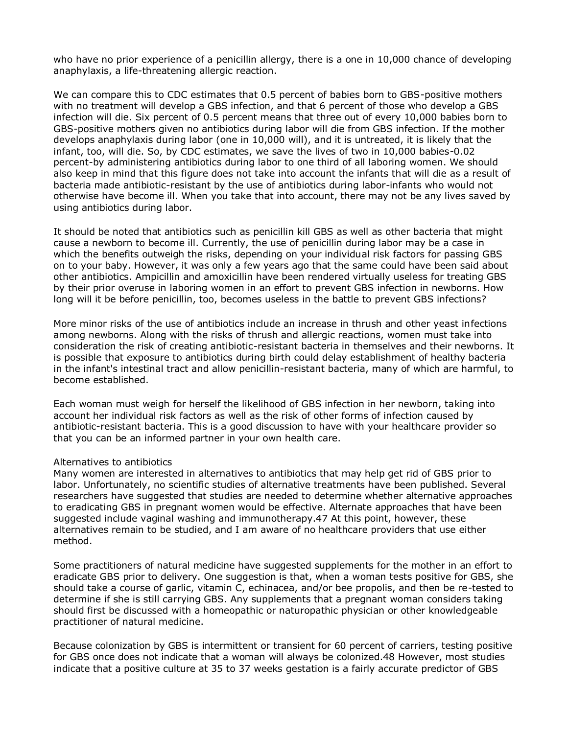who have no prior experience of a penicillin allergy, there is a one in 10,000 chance of developing anaphylaxis, a life-threatening allergic reaction.

We can compare this to CDC estimates that 0.5 percent of babies born to GBS-positive mothers with no treatment will develop a GBS infection, and that 6 percent of those who develop a GBS infection will die. Six percent of 0.5 percent means that three out of every 10,000 babies born to GBS-positive mothers given no antibiotics during labor will die from GBS infection. If the mother develops anaphylaxis during labor (one in 10,000 will), and it is untreated, it is likely that the infant, too, will die. So, by CDC estimates, we save the lives of two in 10,000 babies-0.02 percent-by administering antibiotics during labor to one third of all laboring women. We should also keep in mind that this figure does not take into account the infants that will die as a result of bacteria made antibiotic-resistant by the use of antibiotics during labor-infants who would not otherwise have become ill. When you take that into account, there may not be any lives saved by using antibiotics during labor.

It should be noted that antibiotics such as penicillin kill GBS as well as other bacteria that might cause a newborn to become ill. Currently, the use of penicillin during labor may be a case in which the benefits outweigh the risks, depending on your individual risk factors for passing GBS on to your baby. However, it was only a few years ago that the same could have been said about other antibiotics. Ampicillin and amoxicillin have been rendered virtually useless for treating GBS by their prior overuse in laboring women in an effort to prevent GBS infection in newborns. How long will it be before penicillin, too, becomes useless in the battle to prevent GBS infections?

More minor risks of the use of antibiotics include an increase in thrush and other yeast infections among newborns. Along with the risks of thrush and allergic reactions, women must take into consideration the risk of creating antibiotic-resistant bacteria in themselves and their newborns. It is possible that exposure to antibiotics during birth could delay establishment of healthy bacteria in the infant's intestinal tract and allow penicillin-resistant bacteria, many of which are harmful, to become established.

Each woman must weigh for herself the likelihood of GBS infection in her newborn, taking into account her individual risk factors as well as the risk of other forms of infection caused by antibiotic-resistant bacteria. This is a good discussion to have with your healthcare provider so that you can be an informed partner in your own health care.

#### Alternatives to antibiotics

Many women are interested in alternatives to antibiotics that may help get rid of GBS prior to labor. Unfortunately, no scientific studies of alternative treatments have been published. Several researchers have suggested that studies are needed to determine whether alternative approaches to eradicating GBS in pregnant women would be effective. Alternate approaches that have been suggested include vaginal washing and immunotherapy.47 At this point, however, these alternatives remain to be studied, and I am aware of no healthcare providers that use either method.

Some practitioners of natural medicine have suggested supplements for the mother in an effort to eradicate GBS prior to delivery. One suggestion is that, when a woman tests positive for GBS, she should take a course of garlic, vitamin C, echinacea, and/or bee propolis, and then be re-tested to determine if she is still carrying GBS. Any supplements that a pregnant woman considers taking should first be discussed with a homeopathic or naturopathic physician or other knowledgeable practitioner of natural medicine.

Because colonization by GBS is intermittent or transient for 60 percent of carriers, testing positive for GBS once does not indicate that a woman will always be colonized.48 However, most studies indicate that a positive culture at 35 to 37 weeks gestation is a fairly accurate predictor of GBS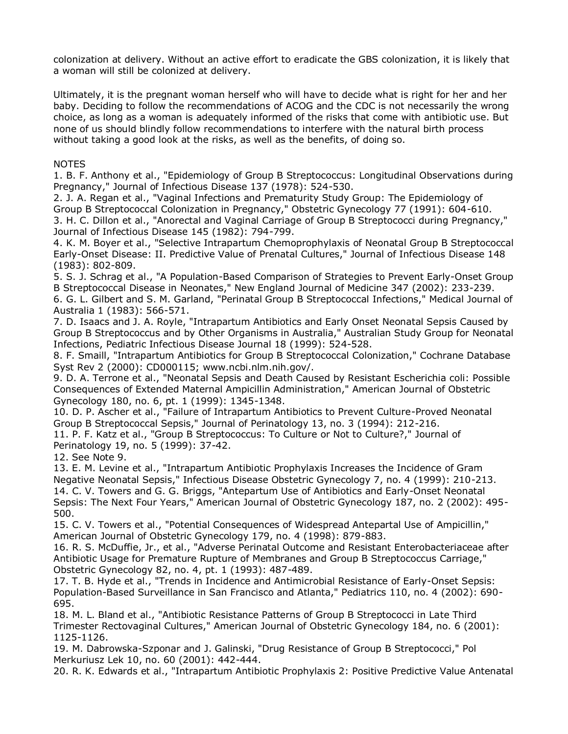colonization at delivery. Without an active effort to eradicate the GBS colonization, it is likely that a woman will still be colonized at delivery.

Ultimately, it is the pregnant woman herself who will have to decide what is right for her and her baby. Deciding to follow the recommendations of ACOG and the CDC is not necessarily the wrong choice, as long as a woman is adequately informed of the risks that come with antibiotic use. But none of us should blindly follow recommendations to interfere with the natural birth process without taking a good look at the risks, as well as the benefits, of doing so.

## NOTES

1. B. F. Anthony et al., "Epidemiology of Group B Streptococcus: Longitudinal Observations during Pregnancy," Journal of Infectious Disease 137 (1978): 524-530.

2. J. A. Regan et al., "Vaginal Infections and Prematurity Study Group: The Epidemiology of Group B Streptococcal Colonization in Pregnancy," Obstetric Gynecology 77 (1991): 604-610. 3. H. C. Dillon et al., "Anorectal and Vaginal Carriage of Group B Streptococci during Pregnancy," Journal of Infectious Disease 145 (1982): 794-799.

4. K. M. Boyer et al., "Selective Intrapartum Chemoprophylaxis of Neonatal Group B Streptococcal Early-Onset Disease: II. Predictive Value of Prenatal Cultures," Journal of Infectious Disease 148 (1983): 802-809.

5. S. J. Schrag et al., "A Population-Based Comparison of Strategies to Prevent Early-Onset Group B Streptococcal Disease in Neonates," New England Journal of Medicine 347 (2002): 233-239.

6. G. L. Gilbert and S. M. Garland, "Perinatal Group B Streptococcal Infections," Medical Journal of Australia 1 (1983): 566-571.

7. D. Isaacs and J. A. Royle, "Intrapartum Antibiotics and Early Onset Neonatal Sepsis Caused by Group B Streptococcus and by Other Organisms in Australia," Australian Study Group for Neonatal Infections, Pediatric Infectious Disease Journal 18 (1999): 524-528.

8. F. Smaill, "Intrapartum Antibiotics for Group B Streptococcal Colonization," Cochrane Database Syst Rev 2 (2000): CD000115; www.ncbi.nlm.nih.gov/.

9. D. A. Terrone et al., "Neonatal Sepsis and Death Caused by Resistant Escherichia coli: Possible Consequences of Extended Maternal Ampicillin Administration," American Journal of Obstetric Gynecology 180, no. 6, pt. 1 (1999): 1345-1348.

10. D. P. Ascher et al., "Failure of Intrapartum Antibiotics to Prevent Culture-Proved Neonatal Group B Streptococcal Sepsis," Journal of Perinatology 13, no. 3 (1994): 212-216.

11. P. F. Katz et al., "Group B Streptococcus: To Culture or Not to Culture?," Journal of Perinatology 19, no. 5 (1999): 37-42.

12. See Note 9.

13. E. M. Levine et al., "Intrapartum Antibiotic Prophylaxis Increases the Incidence of Gram Negative Neonatal Sepsis," Infectious Disease Obstetric Gynecology 7, no. 4 (1999): 210-213. 14. C. V. Towers and G. G. Briggs, "Antepartum Use of Antibiotics and Early-Onset Neonatal Sepsis: The Next Four Years," American Journal of Obstetric Gynecology 187, no. 2 (2002): 495- 500.

15. C. V. Towers et al., "Potential Consequences of Widespread Antepartal Use of Ampicillin," American Journal of Obstetric Gynecology 179, no. 4 (1998): 879-883.

16. R. S. McDuffie, Jr., et al., "Adverse Perinatal Outcome and Resistant Enterobacteriaceae after Antibiotic Usage for Premature Rupture of Membranes and Group B Streptococcus Carriage," Obstetric Gynecology 82, no. 4, pt. 1 (1993): 487-489.

17. T. B. Hyde et al., "Trends in Incidence and Antimicrobial Resistance of Early-Onset Sepsis: Population-Based Surveillance in San Francisco and Atlanta," Pediatrics 110, no. 4 (2002): 690- 695.

18. M. L. Bland et al., "Antibiotic Resistance Patterns of Group B Streptococci in Late Third Trimester Rectovaginal Cultures," American Journal of Obstetric Gynecology 184, no. 6 (2001): 1125-1126.

19. M. Dabrowska-Szponar and J. Galinski, "Drug Resistance of Group B Streptococci," Pol Merkuriusz Lek 10, no. 60 (2001): 442-444.

20. R. K. Edwards et al., "Intrapartum Antibiotic Prophylaxis 2: Positive Predictive Value Antenatal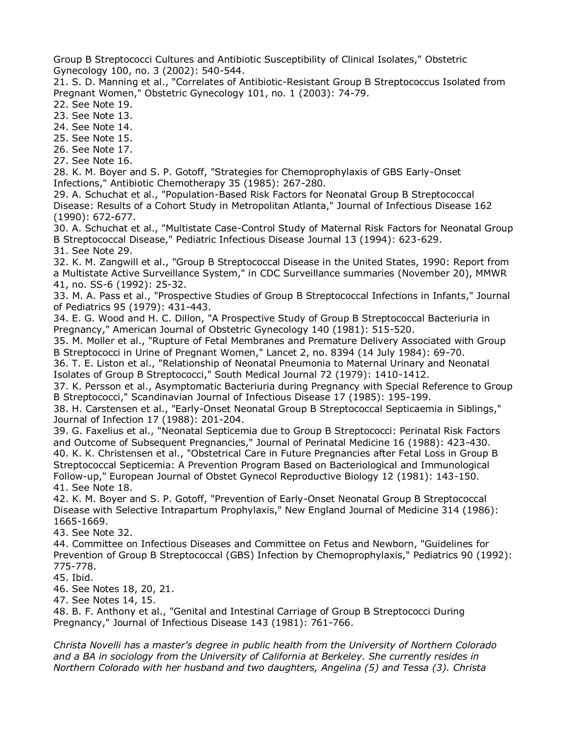Group B Streptococci Cultures and Antibiotic Susceptibility of Clinical Isolates," Obstetric Gynecology 100, no. 3 (2002): 540-544.

21. S. D. Manning et al., "Correlates of Antibiotic-Resistant Group B Streptococcus Isolated from Pregnant Women," Obstetric Gynecology 101, no. 1 (2003): 74-79.

22. See Note 19.

23. See Note 13.

24. See Note 14.

25. See Note 15.

26. See Note 17.

27. See Note 16.

28. K. M. Boyer and S. P. Gotoff, "Strategies for Chemoprophylaxis of GBS Early-Onset Infections," Antibiotic Chemotherapy 35 (1985): 267-280.

29. A. Schuchat et al., "Population-Based Risk Factors for Neonatal Group B Streptococcal Disease: Results of a Cohort Study in Metropolitan Atlanta," Journal of Infectious Disease 162 (1990): 672-677.

30. A. Schuchat et al., "Multistate Case-Control Study of Maternal Risk Factors for Neonatal Group B Streptococcal Disease," Pediatric Infectious Disease Journal 13 (1994): 623-629. 31. See Note 29.

32. K. M. Zangwill et al., "Group B Streptococcal Disease in the United States, 1990: Report from a Multistate Active Surveillance System," in CDC Surveillance summaries (November 20), MMWR 41, no. SS-6 (1992): 25-32.

33. M. A. Pass et al., "Prospective Studies of Group B Streptococcal Infections in Infants," Journal of Pediatrics 95 (1979): 431-443.

34. E. G. Wood and H. C. Dillon, "A Prospective Study of Group B Streptococcal Bacteriuria in Pregnancy," American Journal of Obstetric Gynecology 140 (1981): 515-520.

35. M. Moller et al., "Rupture of Fetal Membranes and Premature Delivery Associated with Group B Streptococci in Urine of Pregnant Women," Lancet 2, no. 8394 (14 July 1984): 69-70.

36. T. E. Liston et al., "Relationship of Neonatal Pneumonia to Maternal Urinary and Neonatal Isolates of Group B Streptococci," South Medical Journal 72 (1979): 1410-1412.

37. K. Persson et al., Asymptomatic Bacteriuria during Pregnancy with Special Reference to Group B Streptococci," Scandinavian Journal of Infectious Disease 17 (1985): 195-199.

38. H. Carstensen et al., "Early-Onset Neonatal Group B Streptococcal Septicaemia in Siblings," Journal of Infection 17 (1988): 201-204.

39. G. Faxelius et al., "Neonatal Septicemia due to Group B Streptococci: Perinatal Risk Factors and Outcome of Subsequent Pregnancies," Journal of Perinatal Medicine 16 (1988): 423-430. 40. K. K. Christensen et al., "Obstetrical Care in Future Pregnancies after Fetal Loss in Group B Streptococcal Septicemia: A Prevention Program Based on Bacteriological and Immunological Follow-up," European Journal of Obstet Gynecol Reproductive Biology 12 (1981): 143-150. 41. See Note 18.

42. K. M. Boyer and S. P. Gotoff, "Prevention of Early-Onset Neonatal Group B Streptococcal Disease with Selective Intrapartum Prophylaxis," New England Journal of Medicine 314 (1986): 1665-1669.

43. See Note 32.

44. Committee on Infectious Diseases and Committee on Fetus and Newborn, "Guidelines for Prevention of Group B Streptococcal (GBS) Infection by Chemoprophylaxis," Pediatrics 90 (1992): 775-778.

45. Ibid.

46. See Notes 18, 20, 21.

47. See Notes 14, 15.

48. B. F. Anthony et al., "Genital and Intestinal Carriage of Group B Streptococci During Pregnancy," Journal of Infectious Disease 143 (1981): 761-766.

*Christa Novelli has a master's degree in public health from the University of Northern Colorado and a BA in sociology from the University of California at Berkeley. She currently resides in Northern Colorado with her husband and two daughters, Angelina (5) and Tessa (3). Christa*